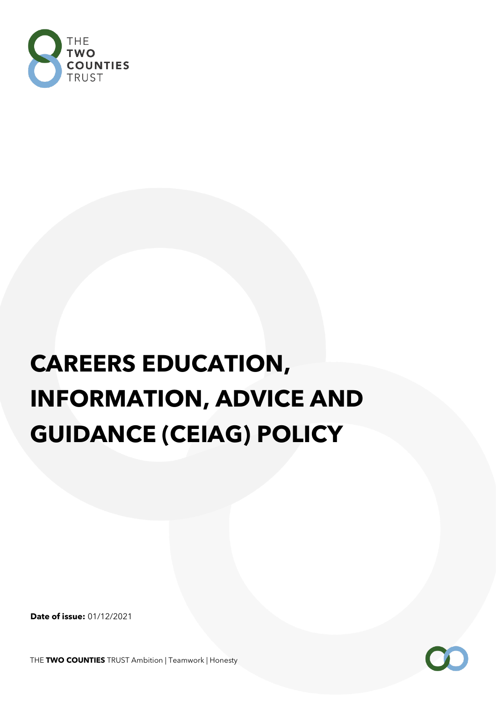

# **CAREERS EDUCATION, INFORMATION, ADVICE AND GUIDANCE (CEIAG) POLICY**

**Date of issue:** 01/12/2021

THE **TWO COUNTIES** TRUST Ambition | Teamwork | Honesty

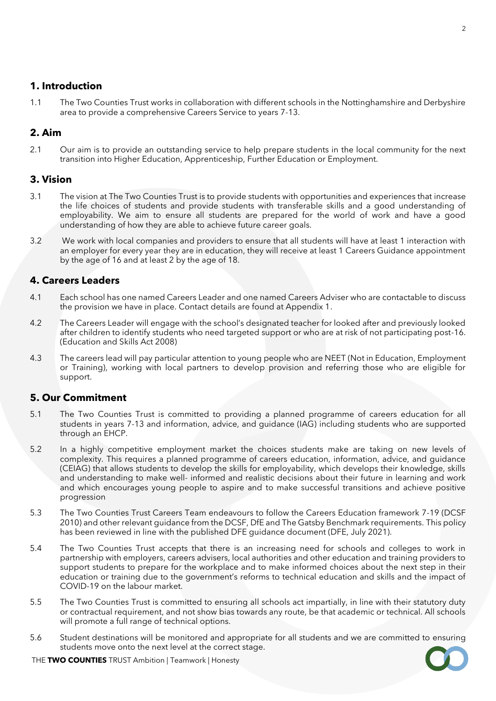## **1. Introduction**

1.1 The Two Counties Trust works in collaboration with different schools in the Nottinghamshire and Derbyshire area to provide a comprehensive Careers Service to years 7-13.

# **2. Aim**

2.1 Our aim is to provide an outstanding service to help prepare students in the local community for the next transition into Higher Education, Apprenticeship, Further Education or Employment.

#### **3. Vision**

- 3.1 The vision at The Two Counties Trust is to provide students with opportunities and experiences that increase the life choices of students and provide students with transferable skills and a good understanding of employability. We aim to ensure all students are prepared for the world of work and have a good understanding of how they are able to achieve future career goals.
- 3.2 We work with local companies and providers to ensure that all students will have at least 1 interaction with an employer for every year they are in education, they will receive at least 1 Careers Guidance appointment by the age of 16 and at least 2 by the age of 18.

## **4. Careers Leaders**

- 4.1 Each school has one named Careers Leader and one named Careers Adviser who are contactable to discuss the provision we have in place. Contact details are found at Appendix 1.
- 4.2 The Careers Leader will engage with the school's designated teacher for looked after and previously looked after children to identify students who need targeted support or who are at risk of not participating post-16. (Education and Skills Act 2008)
- 4.3 The careers lead will pay particular attention to young people who are NEET (Not in Education, Employment or Training), working with local partners to develop provision and referring those who are eligible for support.

#### **5. Our Commitment**

- 5.1 The Two Counties Trust is committed to providing a planned programme of careers education for all students in years 7-13 and information, advice, and guidance (IAG) including students who are supported through an EHCP.
- 5.2 In a highly competitive employment market the choices students make are taking on new levels of complexity. This requires a planned programme of careers education, information, advice, and guidance (CEIAG) that allows students to develop the skills for employability, which develops their knowledge, skills and understanding to make well- informed and realistic decisions about their future in learning and work and which encourages young people to aspire and to make successful transitions and achieve positive progression
- 5.3 The Two Counties Trust Careers Team endeavours to follow the Careers Education framework 7-19 (DCSF 2010) and other relevant guidance from the DCSF, DfE and The Gatsby Benchmark requirements. This policy has been reviewed in line with the published DFE guidance document (DFE, July 2021).
- 5.4 The Two Counties Trust accepts that there is an increasing need for schools and colleges to work in partnership with employers, careers advisers, local authorities and other education and training providers to support students to prepare for the workplace and to make informed choices about the next step in their education or training due to the government's reforms to technical education and skills and the impact of COVID-19 on the labour market.
- 5.5 The Two Counties Trust is committed to ensuring all schools act impartially, in line with their statutory duty or contractual requirement, and not show bias towards any route, be that academic or technical. All schools will promote a full range of technical options.
- 5.6 Student destinations will be monitored and appropriate for all students and we are committed to ensuring students move onto the next level at the correct stage.



THE **TWO COUNTIES** TRUST Ambition | Teamwork | Honesty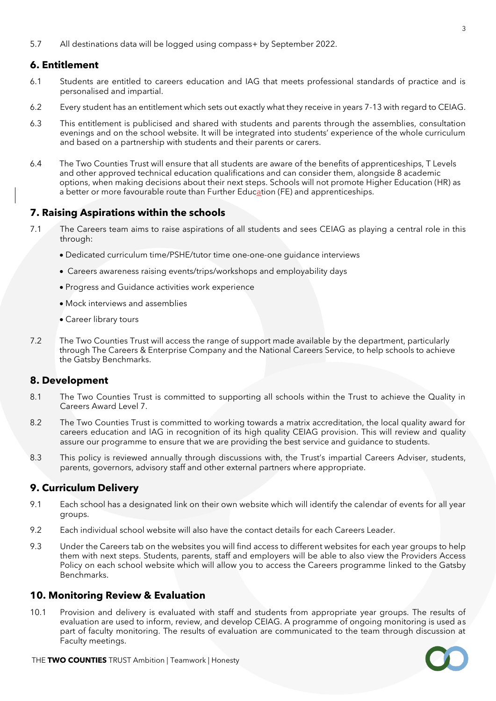5.7 All destinations data will be logged using compass+ by September 2022.

# **6. Entitlement**

- 6.1 Students are entitled to careers education and IAG that meets professional standards of practice and is personalised and impartial.
- 6.2 Every student has an entitlement which sets out exactly what they receive in years 7-13 with regard to CEIAG.
- 6.3 This entitlement is publicised and shared with students and parents through the assemblies, consultation evenings and on the school website. It will be integrated into students' experience of the whole curriculum and based on a partnership with students and their parents or carers.
- 6.4 The Two Counties Trust will ensure that all students are aware of the benefits of apprenticeships, T Levels and other approved technical education qualifications and can consider them, alongside 8 academic options, when making decisions about their next steps. Schools will not promote Higher Education (HR) as a better or more favourable route than Further Education (FE) and apprenticeships.

# **7. Raising Aspirations within the schools**

- 7.1 The Careers team aims to raise aspirations of all students and sees CEIAG as playing a central role in this through:
	- Dedicated curriculum time/PSHE/tutor time one-one-one guidance interviews
	- Careers awareness raising events/trips/workshops and employability days
	- Progress and Guidance activities work experience
	- Mock interviews and assemblies
	- Career library tours
- 7.2 The Two Counties Trust will access the range of support made available by the department, particularly through The Careers & Enterprise Company and the National Careers Service, to help schools to achieve the Gatsby Benchmarks.

# **8. Development**

- 8.1 The Two Counties Trust is committed to supporting all schools within the Trust to achieve the Quality in Careers Award Level 7.
- 8.2 The Two Counties Trust is committed to working towards a matrix accreditation, the local quality award for careers education and IAG in recognition of its high quality CEIAG provision. This will review and quality assure our programme to ensure that we are providing the best service and guidance to students.
- 8.3 This policy is reviewed annually through discussions with, the Trust's impartial Careers Adviser, students, parents, governors, advisory staff and other external partners where appropriate.

# **9. Curriculum Delivery**

- 9.1 Each school has a designated link on their own website which will identify the calendar of events for all year groups.
- 9.2 Each individual school website will also have the contact details for each Careers Leader.
- 9.3 Under the Careers tab on the websites you will find access to different websites for each year groups to help them with next steps. Students, parents, staff and employers will be able to also view the Providers Access Policy on each school website which will allow you to access the Careers programme linked to the Gatsby Benchmarks.

#### **10. Monitoring Review & Evaluation**

10.1 Provision and delivery is evaluated with staff and students from appropriate year groups. The results of evaluation are used to inform, review, and develop CEIAG. A programme of ongoing monitoring is used as part of faculty monitoring. The results of evaluation are communicated to the team through discussion at Faculty meetings.

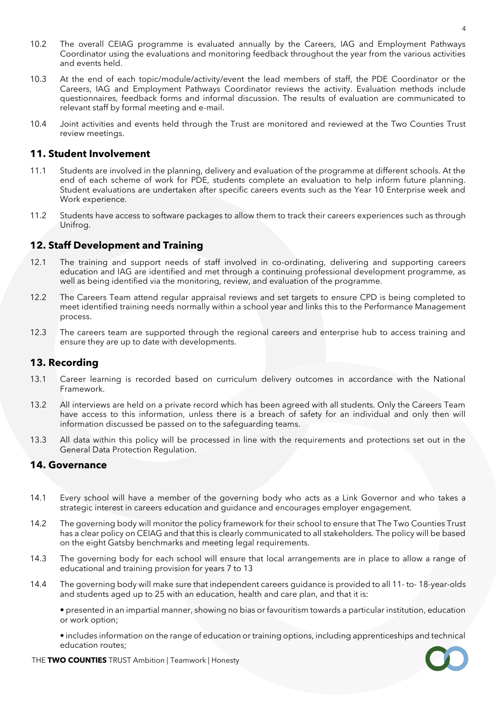- 10.2 The overall CEIAG programme is evaluated annually by the Careers, IAG and Employment Pathways Coordinator using the evaluations and monitoring feedback throughout the year from the various activities and events held.
- 10.3 At the end of each topic/module/activity/event the lead members of staff, the PDE Coordinator or the Careers, IAG and Employment Pathways Coordinator reviews the activity. Evaluation methods include questionnaires, feedback forms and informal discussion. The results of evaluation are communicated to relevant staff by formal meeting and e-mail.
- 10.4 Joint activities and events held through the Trust are monitored and reviewed at the Two Counties Trust review meetings.

#### **11. Student Involvement**

- 11.1 Students are involved in the planning, delivery and evaluation of the programme at different schools. At the end of each scheme of work for PDE, students complete an evaluation to help inform future planning. Student evaluations are undertaken after specific careers events such as the Year 10 Enterprise week and Work experience.
- 11.2 Students have access to software packages to allow them to track their careers experiences such as through Unifrog.

#### **12. Staff Development and Training**

- 12.1 The training and support needs of staff involved in co-ordinating, delivering and supporting careers education and IAG are identified and met through a continuing professional development programme, as well as being identified via the monitoring, review, and evaluation of the programme.
- 12.2 The Careers Team attend regular appraisal reviews and set targets to ensure CPD is being completed to meet identified training needs normally within a school year and links this to the Performance Management process.
- 12.3 The careers team are supported through the regional careers and enterprise hub to access training and ensure they are up to date with developments.

#### **13. Recording**

- 13.1 Career learning is recorded based on curriculum delivery outcomes in accordance with the National Framework.
- 13.2 All interviews are held on a private record which has been agreed with all students. Only the Careers Team have access to this information, unless there is a breach of safety for an individual and only then will information discussed be passed on to the safeguarding teams.
- 13.3 All data within this policy will be processed in line with the requirements and protections set out in the General Data Protection Regulation.

#### **14. Governance**

- 14.1 Every school will have a member of the governing body who acts as a Link Governor and who takes a strategic interest in careers education and guidance and encourages employer engagement.
- 14.2 The governing body will monitor the policy framework for their school to ensure that The Two Counties Trust has a clear policy on CEIAG and that this is clearly communicated to all stakeholders. The policy will be based on the eight Gatsby benchmarks and meeting legal requirements.
- 14.3 The governing body for each school will ensure that local arrangements are in place to allow a range of educational and training provision for years 7 to 13
- 14.4 The governing body will make sure that independent careers guidance is provided to all 11- to- 18-year-olds and students aged up to 25 with an education, health and care plan, and that it is:

• presented in an impartial manner, showing no bias or favouritism towards a particular institution, education or work option;

• includes information on the range of education or training options, including apprenticeships and technical education routes;



THE **TWO COUNTIES** TRUST Ambition | Teamwork | Honesty